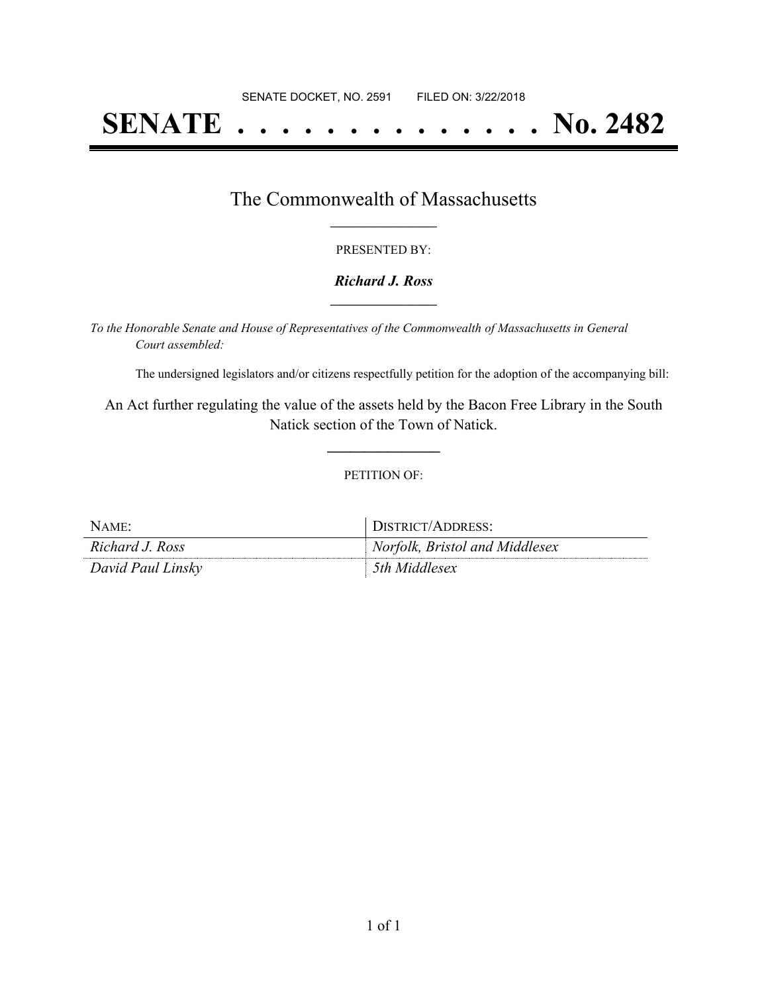# **SENATE . . . . . . . . . . . . . . No. 2482**

### The Commonwealth of Massachusetts **\_\_\_\_\_\_\_\_\_\_\_\_\_\_\_\_\_**

#### PRESENTED BY:

#### *Richard J. Ross* **\_\_\_\_\_\_\_\_\_\_\_\_\_\_\_\_\_**

*To the Honorable Senate and House of Representatives of the Commonwealth of Massachusetts in General Court assembled:*

The undersigned legislators and/or citizens respectfully petition for the adoption of the accompanying bill:

An Act further regulating the value of the assets held by the Bacon Free Library in the South Natick section of the Town of Natick.

**\_\_\_\_\_\_\_\_\_\_\_\_\_\_\_**

#### PETITION OF:

| $NAME$ :          | DISTRICT/ADDRESS:              |
|-------------------|--------------------------------|
| Richard J. Ross   | Norfolk, Bristol and Middlesex |
| David Paul Linsky | 5th Middlesex                  |